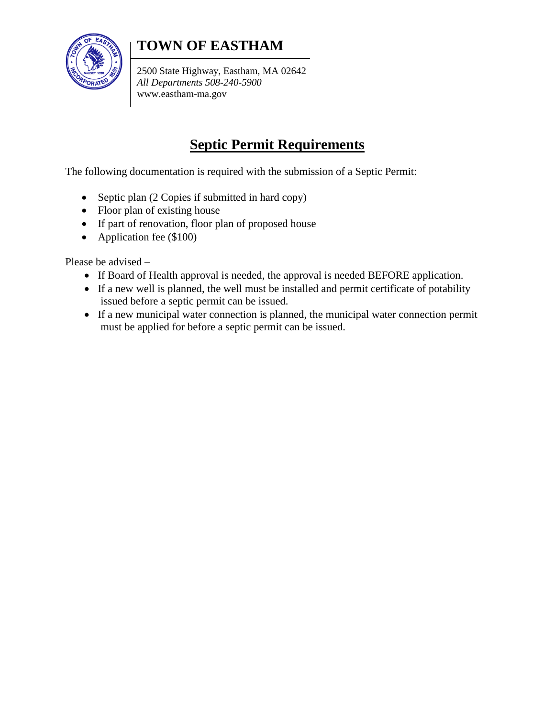

## **TOWN OF EASTHAM**

2500 State Highway, Eastham, MA 02642 *All Departments 508-240-5900* www.eastham-ma.gov

## **Septic Permit Requirements**

The following documentation is required with the submission of a Septic Permit:

- Septic plan (2 Copies if submitted in hard copy)
- Floor plan of existing house
- If part of renovation, floor plan of proposed house
- Application fee (\$100)

Please be advised –

- If Board of Health approval is needed, the approval is needed BEFORE application.
- If a new well is planned, the well must be installed and permit certificate of potability issued before a septic permit can be issued.
- If a new municipal water connection is planned, the municipal water connection permit must be applied for before a septic permit can be issued.